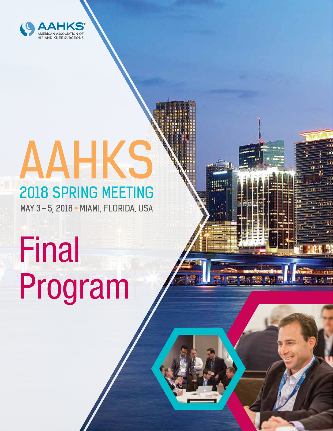

# 2018 SPRING MEETING<br>MAY 3-5, 2018 • MIAMI, FLORIDA, USA AAHKS

# Final Program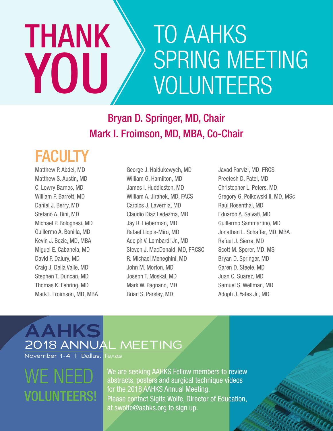## TO AAHKS SPRING MEETING VOLUNTEERS THANK YOU

## Bryan D. Springer, MD, Chair Mark I. Froimson, MD, MBA, Co-Chair

## FACULTY

Matthew P. Abdel, MD Matthew S. Austin, MD C. Lowry Barnes, MD William P. Barrett, MD Daniel J. Berry, MD Stefano A. Bini, MD Michael P. Bolognesi, MD Guillermo A. Bonilla, MD Kevin J. Bozic, MD, MBA Miguel E. Cabanela, MD David F. Dalury, MD Craig J. Della Valle, MD Stephen T. Duncan, MD Thomas K. Fehring, MD Mark I. Froimson, MD, MBA George J. Haidukewych, MD William G. Hamilton, MD James I. Huddleston, MD William A. Jiranek, MD, FACS Carolos J. Lavernia, MD Claudio Diaz Ledezma, MD Jay R. Lieberman, MD Rafael Llopis-Miro, MD Adolph V. Lombardi Jr., MD Steven J. MacDonald, MD, FRCSC R. Michael Meneghini, MD John M. Morton, MD Joseph T. Moskal, MD Mark W. Pagnano, MD Brian S. Parsley, MD

Javad Parvizi, MD, FRCS Preetesh D. Patel, MD Christopher L. Peters, MD Gregory G. Polkowski II, MD, MSc Raul Rosenthal, MD Eduardo A. Salvati, MD Guillermo Sammartino, MD Jonathan L. Schaffer, MD, MBA Rafael J. Sierra, MD Scott M. Sporer, MD, MS Bryan D. Springer, MD Garen D. Steele, MD Juan C. Suarez, MD Samuel S. Wellman, MD Adoph J. Yates Jr., MD

COCOCOCO CO

### **AAHKS** 2018 ANNUAL MEETING November 1-4 | Dallas, Texas

## WE NFF VOLUNTEERS!

We are seeking AAHKS Fellow members to review abstracts, posters and surgical technique videos for the 2018 AAHKS Annual Meeting. Please contact Sigita Wolfe, Director of Education, at swolfe@aahks.org to sign up.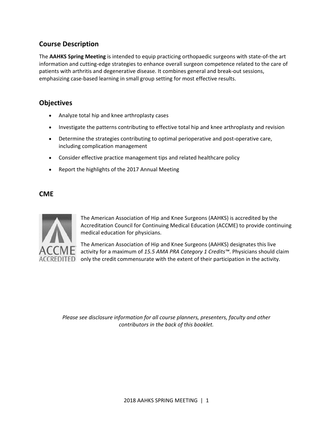#### **Course Description**

The **AAHKS Spring Meeting** is intended to equip practicing orthopaedic surgeons with state‐of‐the art information and cutting‐edge strategies to enhance overall surgeon competence related to the care of patients with arthritis and degenerative disease. It combines general and break‐out sessions, emphasizing case-based learning in small group setting for most effective results.

#### **Objectives**

- Analyze total hip and knee arthroplasty cases
- Investigate the patterns contributing to effective total hip and knee arthroplasty and revision
- Determine the strategies contributing to optimal perioperative and post-operative care, including complication management
- Consider effective practice management tips and related healthcare policy
- Report the highlights of the 2017 Annual Meeting

#### **CME**



The American Association of Hip and Knee Surgeons (AAHKS) is accredited by the Accreditation Council for Continuing Medical Education (ACCME) to provide continuing medical education for physicians.

The American Association of Hip and Knee Surgeons (AAHKS) designates this live activity for a maximum of *15.5 AMA PRA Category 1 Credits™*. Physicians should claim  $ACCREDITED$  only the credit commensurate with the extent of their participation in the activity.

*Please see disclosure information for all course planners, presenters, faculty and other contributors in the back of this booklet.*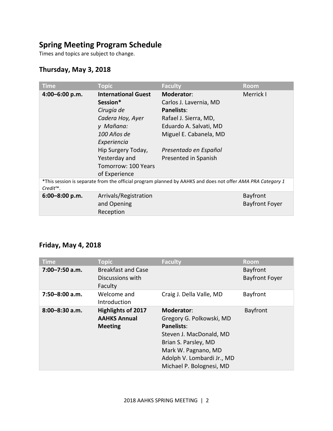#### **Spring Meeting Program Schedule**

Times and topics are subject to change.

#### **Thursday, May 3, 2018**

| <b>Time</b>    | <b>Topic</b>               | <b>Faculty</b>                                                                                             | <b>Room</b>           |
|----------------|----------------------------|------------------------------------------------------------------------------------------------------------|-----------------------|
| 4:00-6:00 p.m. | <b>International Guest</b> | Moderator:                                                                                                 | Merrick I             |
|                | Session*                   | Carlos J. Lavernia, MD                                                                                     |                       |
|                | Cirugía de                 | <b>Panelists:</b>                                                                                          |                       |
|                | Cadera Hoy, Ayer           | Rafael J. Sierra, MD,                                                                                      |                       |
|                | y Mañana:                  | Eduardo A. Salvati, MD                                                                                     |                       |
|                | 100 Años de                | Miguel E. Cabanela, MD                                                                                     |                       |
|                | Experiencia                |                                                                                                            |                       |
|                | Hip Surgery Today,         | Presentado en Español                                                                                      |                       |
|                | Yesterday and              | Presented in Spanish                                                                                       |                       |
|                | Tomorrow: 100 Years        |                                                                                                            |                       |
|                | of Experience              |                                                                                                            |                       |
| $Credit^{m}$ . |                            | *This session is separate from the official program planned by AAHKS and does not offer AMA PRA Category 1 |                       |
| 6:00-8:00 p.m. | Arrivals/Registration      |                                                                                                            | Bayfront              |
|                | and Opening                |                                                                                                            | <b>Bayfront Foyer</b> |
|                | Reception                  |                                                                                                            |                       |

#### **Friday, May 4, 2018**

| <b>Time</b>        | <b>Topic</b>              | <b>Faculty</b>             | <b>Room</b>           |
|--------------------|---------------------------|----------------------------|-----------------------|
| $7:00 - 7:50$ a.m. | <b>Breakfast and Case</b> |                            | Bayfront              |
|                    | Discussions with          |                            | <b>Bayfront Foyer</b> |
|                    | Faculty                   |                            |                       |
| $7:50 - 8:00$ a.m. | Welcome and               | Craig J. Della Valle, MD   | Bayfront              |
|                    | Introduction              |                            |                       |
| $8:00 - 8:30$ a.m. | <b>Highlights of 2017</b> | <b>Moderator:</b>          | Bayfront              |
|                    | <b>AAHKS Annual</b>       | Gregory G. Polkowski, MD   |                       |
|                    | <b>Meeting</b>            | Panelists:                 |                       |
|                    |                           | Steven J. MacDonald, MD    |                       |
|                    |                           | Brian S. Parsley, MD       |                       |
|                    |                           | Mark W. Pagnano, MD        |                       |
|                    |                           | Adolph V. Lombardi Jr., MD |                       |
|                    |                           | Michael P. Bolognesi, MD   |                       |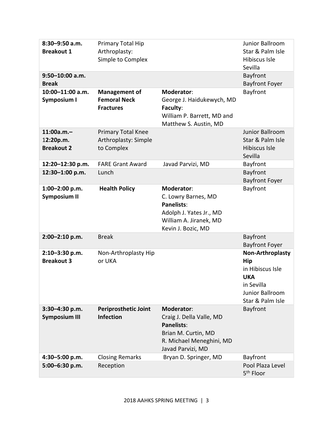| 8:30-9:50 a.m.<br><b>Breakout 1</b><br>$9:50 - 10:00$ a.m.<br><b>Break</b><br>10:00-11:00 a.m.<br><b>Symposium I</b> | Primary Total Hip<br>Arthroplasty:<br>Simple to Complex<br><b>Management of</b><br><b>Femoral Neck</b> | Moderator:<br>George J. Haidukewych, MD                                                                                                    | Junior Ballroom<br>Star & Palm Isle<br>Hibiscus Isle<br>Sevilla<br>Bayfront<br><b>Bayfront Foyer</b><br>Bayfront                    |
|----------------------------------------------------------------------------------------------------------------------|--------------------------------------------------------------------------------------------------------|--------------------------------------------------------------------------------------------------------------------------------------------|-------------------------------------------------------------------------------------------------------------------------------------|
|                                                                                                                      | <b>Fractures</b>                                                                                       | Faculty:<br>William P. Barrett, MD and<br>Matthew S. Austin, MD                                                                            |                                                                                                                                     |
| $11:00a.m. -$<br>12:20p.m.<br><b>Breakout 2</b>                                                                      | <b>Primary Total Knee</b><br>Arthroplasty: Simple<br>to Complex                                        |                                                                                                                                            | Junior Ballroom<br>Star & Palm Isle<br>Hibiscus Isle<br>Sevilla                                                                     |
| 12:20-12:30 p.m.                                                                                                     | <b>FARE Grant Award</b>                                                                                | Javad Parvizi, MD                                                                                                                          | Bayfront                                                                                                                            |
| 12:30-1:00 p.m.                                                                                                      | Lunch                                                                                                  |                                                                                                                                            | Bayfront<br><b>Bayfront Foyer</b>                                                                                                   |
| 1:00-2:00 p.m.<br><b>Symposium II</b>                                                                                | <b>Health Policy</b>                                                                                   | <b>Moderator:</b><br>C. Lowry Barnes, MD<br><b>Panelists:</b><br>Adolph J. Yates Jr., MD<br>William A. Jiranek, MD<br>Kevin J. Bozic, MD   | Bayfront                                                                                                                            |
| $2:00-2:10 p.m.$                                                                                                     | <b>Break</b>                                                                                           |                                                                                                                                            | Bayfront<br><b>Bayfront Foyer</b>                                                                                                   |
| 2:10-3:30 p.m.<br><b>Breakout 3</b>                                                                                  | Non-Arthroplasty Hip<br>or UKA                                                                         |                                                                                                                                            | <b>Non-Arthroplasty</b><br><b>Hip</b><br>in Hibiscus Isle<br><b>UKA</b><br>in Sevilla<br><b>Junior Ballroom</b><br>Star & Palm Isle |
| 3:30-4:30 p.m.<br><b>Symposium III</b>                                                                               | <b>Periprosthetic Joint</b><br><b>Infection</b>                                                        | <b>Moderator:</b><br>Craig J. Della Valle, MD<br><b>Panelists:</b><br>Brian M. Curtin, MD<br>R. Michael Meneghini, MD<br>Javad Parvizi, MD | Bayfront                                                                                                                            |
| 4:30-5:00 p.m.                                                                                                       | <b>Closing Remarks</b>                                                                                 | Bryan D. Springer, MD                                                                                                                      | Bayfront                                                                                                                            |
| 5:00-6:30 p.m.                                                                                                       | Reception                                                                                              |                                                                                                                                            | Pool Plaza Level<br>5 <sup>th</sup> Floor                                                                                           |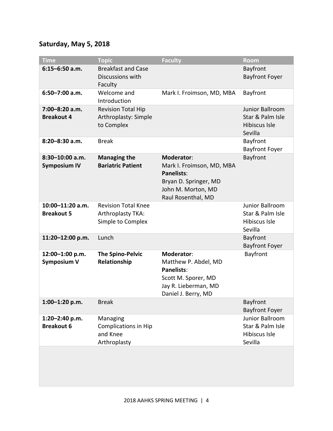#### **Saturday, May 5, 2018**

| <b>Time</b>                            | <b>Topic</b>                                                         | <b>Faculty</b>                                                                                                                           | Room                                                                   |
|----------------------------------------|----------------------------------------------------------------------|------------------------------------------------------------------------------------------------------------------------------------------|------------------------------------------------------------------------|
| $6:15 - 6:50$ a.m.                     | <b>Breakfast and Case</b><br>Discussions with<br>Faculty             |                                                                                                                                          | Bayfront<br><b>Bayfront Foyer</b>                                      |
| $6:50 - 7:00$ a.m.                     | Welcome and<br>Introduction                                          | Mark I. Froimson, MD, MBA                                                                                                                | Bayfront                                                               |
| 7:00-8:20 a.m.<br><b>Breakout 4</b>    | <b>Revision Total Hip</b><br>Arthroplasty: Simple<br>to Complex      |                                                                                                                                          | Junior Ballroom<br>Star & Palm Isle<br><b>Hibiscus Isle</b><br>Sevilla |
| $8:20 - 8:30$ a.m.                     | <b>Break</b>                                                         |                                                                                                                                          | Bayfront<br><b>Bayfront Foyer</b>                                      |
| 8:30-10:00 a.m.<br><b>Symposium IV</b> | <b>Managing the</b><br><b>Bariatric Patient</b>                      | <b>Moderator:</b><br>Mark I. Froimson, MD, MBA<br><b>Panelists:</b><br>Bryan D. Springer, MD<br>John M. Morton, MD<br>Raul Rosenthal, MD | Bayfront                                                               |
| 10:00-11:20 a.m.<br><b>Breakout 5</b>  | <b>Revision Total Knee</b><br>Arthroplasty TKA:<br>Simple to Complex |                                                                                                                                          | <b>Junior Ballroom</b><br>Star & Palm Isle<br>Hibiscus Isle<br>Sevilla |
| 11:20-12:00 p.m.                       | Lunch                                                                |                                                                                                                                          | Bayfront<br><b>Bayfront Foyer</b>                                      |
| 12:00-1:00 p.m.<br><b>Symposium V</b>  | <b>The Spino-Pelvic</b><br>Relationship                              | Moderator:<br>Matthew P. Abdel, MD<br><b>Panelists:</b><br>Scott M. Sporer, MD<br>Jay R. Lieberman, MD<br>Daniel J. Berry, MD            | Bayfront                                                               |
| 1:00-1:20 p.m.                         | <b>Break</b>                                                         |                                                                                                                                          | Bayfront<br><b>Bayfront Foyer</b>                                      |
| 1:20-2:40 p.m.<br><b>Breakout 6</b>    | Managing<br><b>Complications in Hip</b><br>and Knee<br>Arthroplasty  |                                                                                                                                          | Junior Ballroom<br>Star & Palm Isle<br>Hibiscus Isle<br>Sevilla        |
|                                        |                                                                      |                                                                                                                                          |                                                                        |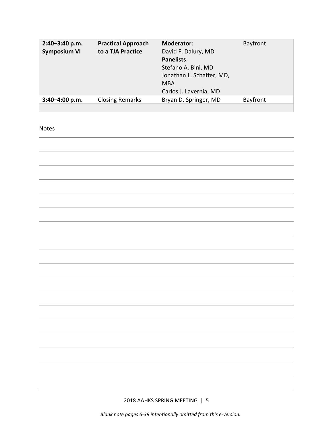| 2:40-3:40 p.m.<br><b>Symposium VI</b> | <b>Practical Approach</b><br>to a TJA Practice | Moderator:<br>David F. Dalury, MD<br>Panelists:<br>Stefano A. Bini, MD<br>Jonathan L. Schaffer, MD,<br><b>MBA</b><br>Carlos J. Lavernia, MD | Bayfront |
|---------------------------------------|------------------------------------------------|---------------------------------------------------------------------------------------------------------------------------------------------|----------|
| $3:40 - 4:00 p.m.$                    | <b>Closing Remarks</b>                         | Bryan D. Springer, MD                                                                                                                       | Bayfront |
|                                       |                                                |                                                                                                                                             |          |

#### Notes

2018 AAHKS SPRING MEETING | 5

*Blank note pages 6-39 intentionally omitted from this e-version.*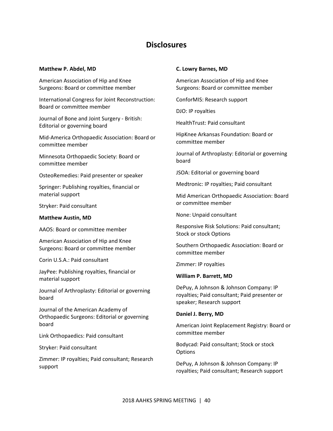#### **Disclosures**

#### **Matthew P. Abdel, MD**

American Association of Hip and Knee Surgeons: Board or committee member

International Congress for Joint Reconstruction: Board or committee member

Journal of Bone and Joint Surgery ‐ British: Editorial or governing board

Mid‐America Orthopaedic Association: Board or committee member

Minnesota Orthopaedic Society: Board or committee member

OsteoRemedies: Paid presenter or speaker

Springer: Publishing royalties, financial or material support

Stryker: Paid consultant

#### **Matthew Austin, MD**

AAOS: Board or committee member

American Association of Hip and Knee Surgeons: Board or committee member

Corin U.S.A.: Paid consultant

JayPee: Publishing royalties, financial or material support

Journal of Arthroplasty: Editorial or governing board

Journal of the American Academy of Orthopaedic Surgeons: Editorial or governing board

Link Orthopaedics: Paid consultant

Stryker: Paid consultant

Zimmer: IP royalties; Paid consultant; Research support

#### **C. Lowry Barnes, MD**

American Association of Hip and Knee Surgeons: Board or committee member

ConforMIS: Research support

DJO: IP royalties

HealthTrust: Paid consultant

HipKnee Arkansas Foundation: Board or committee member

Journal of Arthroplasty: Editorial or governing board

JSOA: Editorial or governing board

Medtronic: IP royalties; Paid consultant

Mid American Orthopaedic Association: Board or committee member

None: Unpaid consultant

Responsive Risk Solutions: Paid consultant; Stock or stock Options

Southern Orthopaedic Association: Board or committee member

Zimmer: IP royalties

#### **William P. Barrett, MD**

DePuy, A Johnson & Johnson Company: IP royalties; Paid consultant; Paid presenter or speaker; Research support

#### **Daniel J. Berry, MD**

American Joint Replacement Registry: Board or committee member

Bodycad: Paid consultant; Stock or stock **Options** 

DePuy, A Johnson & Johnson Company: IP royalties; Paid consultant; Research support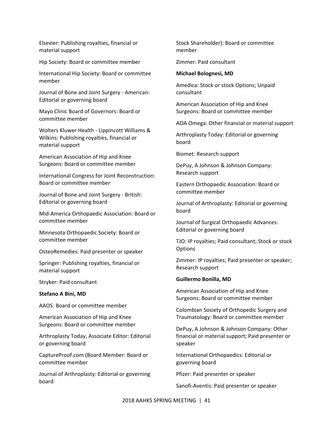Elsevier: Publishing royalties, financial or material support

Hip Society: Board or committee member

International Hip Society: Board or committee member

Journal of Bone and Joint Surgery ‐ American: Editorial or governing board

Mayo Clinic Board of Governors: Board or committee member

Wolters Kluwer Health ‐ Lippincott Williams & Wilkins: Publishing royalties, financial or material support

American Association of Hip and Knee Surgeons: Board or committee member

International Congress for Joint Reconstruction: Board or committee member

Journal of Bone and Joint Surgery ‐ British: Editorial or governing board

Mid‐America Orthopaedic Association: Board or committee member

Minnesota Orthopaedic Society: Board or committee member

OsteoRemedies: Paid presenter or speaker

Springer: Publishing royalties, financial or material support

Stryker: Paid consultant

#### **Stefano A Bini, MD**

AAOS: Board or committee member

American Association of Hip and Knee Surgeons: Board or committee member

Arthroplasty Today, Associate Editor: Editorial or governing board

CaptureProof.com (Board Member: Board or committee member

Journal of Arthroplasty: Editorial or governing board

Stock Shareholder): Board or committee member

Zimmer: Paid consultant

#### **Michael Bolognesi, MD**

Amedica: Stock or stock Options; Unpaid consultant

American Association of Hip and Knee Surgeons: Board or committee member

AOA Omega: Other financial or material support

Arthroplasty Today: Editorial or governing board

Biomet: Research support

DePuy, A Johnson & Johnson Company: Research support

Eastern Orthopaedic Association: Board or committee member

Journal of Arthroplasty: Editorial or governing board

Journal of Surgical Orthopaedic Advances: Editorial or governing board

TJO: IP royalties; Paid consultant; Stock or stock **Options** 

Zimmer: IP royalties; Paid presenter or speaker; Research support

#### **Guillermo Bonilla, MD**

American Association of Hip and Knee Surgeons: Board or committee member

Colombian Society of Orthopedic Surgery and Traumatology: Board or committee member

DePuy, A Johnson & Johnson Company: Other financial or material support; Paid presenter or speaker

International Orthopaedics: Editorial or governing board

Pfizer: Paid presenter or speaker

Sanofi‐Aventis: Paid presenter or speaker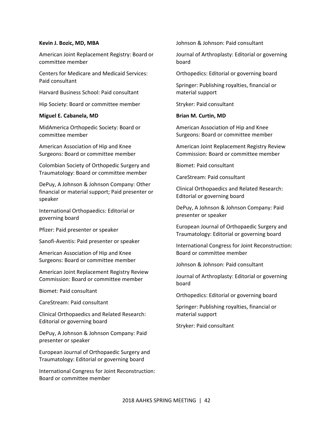#### **Kevin J. Bozic, MD, MBA**

American Joint Replacement Registry: Board or committee member

Centers for Medicare and Medicaid Services: Paid consultant

Harvard Business School: Paid consultant

Hip Society: Board or committee member

#### **Miguel E. Cabanela, MD**

MidAmerica Orthopedic Society: Board or committee member

American Association of Hip and Knee Surgeons: Board or committee member

Colombian Society of Orthopedic Surgery and Traumatology: Board or committee member

DePuy, A Johnson & Johnson Company: Other financial or material support; Paid presenter or speaker

International Orthopaedics: Editorial or governing board

Pfizer: Paid presenter or speaker

Sanofi‐Aventis: Paid presenter or speaker

American Association of Hip and Knee Surgeons: Board or committee member

American Joint Replacement Registry Review Commission: Board or committee member

Biomet: Paid consultant

CareStream: Paid consultant

Clinical Orthopaedics and Related Research: Editorial or governing board

DePuy, A Johnson & Johnson Company: Paid presenter or speaker

European Journal of Orthopaedic Surgery and Traumatology: Editorial or governing board

International Congress for Joint Reconstruction: Board or committee member

Johnson & Johnson: Paid consultant

Journal of Arthroplasty: Editorial or governing board

Orthopedics: Editorial or governing board

Springer: Publishing royalties, financial or material support

Stryker: Paid consultant

#### **Brian M. Curtin, MD**

American Association of Hip and Knee Surgeons: Board or committee member

American Joint Replacement Registry Review Commission: Board or committee member

Biomet: Paid consultant

CareStream: Paid consultant

Clinical Orthopaedics and Related Research: Editorial or governing board

DePuy, A Johnson & Johnson Company: Paid presenter or speaker

European Journal of Orthopaedic Surgery and Traumatology: Editorial or governing board

International Congress for Joint Reconstruction: Board or committee member

Johnson & Johnson: Paid consultant

Journal of Arthroplasty: Editorial or governing board

Orthopedics: Editorial or governing board

Springer: Publishing royalties, financial or material support

Stryker: Paid consultant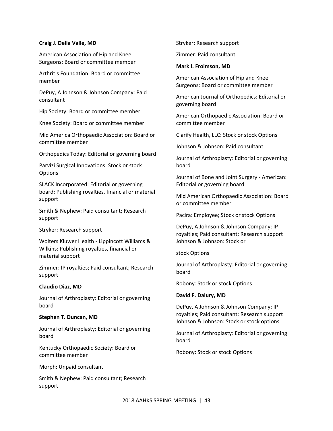#### **Craig J. Della Valle, MD**

American Association of Hip and Knee Surgeons: Board or committee member

Arthritis Foundation: Board or committee member

DePuy, A Johnson & Johnson Company: Paid consultant

Hip Society: Board or committee member

Knee Society: Board or committee member

Mid America Orthopaedic Association: Board or committee member

Orthopedics Today: Editorial or governing board

Parvizi Surgical Innovations: Stock or stock **Options** 

SLACK Incorporated: Editorial or governing board; Publishing royalties, financial or material support

Smith & Nephew: Paid consultant; Research support

Stryker: Research support

Wolters Kluwer Health ‐ Lippincott Williams & Wilkins: Publishing royalties, financial or material support

Zimmer: IP royalties; Paid consultant; Research support

#### **Claudio Diaz, MD**

Journal of Arthroplasty: Editorial or governing board

#### **Stephen T. Duncan, MD**

Journal of Arthroplasty: Editorial or governing board

Kentucky Orthopaedic Society: Board or committee member

Morph: Unpaid consultant

Smith & Nephew: Paid consultant; Research support

Stryker: Research support

Zimmer: Paid consultant

#### **Mark I. Froimson, MD**

American Association of Hip and Knee Surgeons: Board or committee member

American Journal of Orthopedics: Editorial or governing board

American Orthopaedic Association: Board or committee member

Clarify Health, LLC: Stock or stock Options

Johnson & Johnson: Paid consultant

Journal of Arthroplasty: Editorial or governing board

Journal of Bone and Joint Surgery ‐ American: Editorial or governing board

Mid American Orthopaedic Association: Board or committee member

Pacira: Employee; Stock or stock Options

DePuy, A Johnson & Johnson Company: IP royalties; Paid consultant; Research support Johnson & Johnson: Stock or

stock Options

Journal of Arthroplasty: Editorial or governing board

Robony: Stock or stock Options

#### **David F. Dalury, MD**

DePuy, A Johnson & Johnson Company: IP royalties; Paid consultant; Research support Johnson & Johnson: Stock or stock options

Journal of Arthroplasty: Editorial or governing board

Robony: Stock or stock Options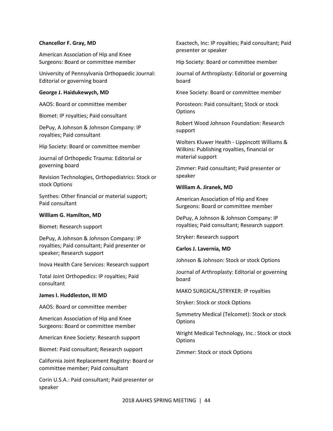#### **Chancellor F. Gray, MD**

American Association of Hip and Knee Surgeons: Board or committee member

University of Pennsylvania Orthopaedic Journal: Editorial or governing board

#### **George J. Haidukewych, MD**

AAOS: Board or committee member

Biomet: IP royalties; Paid consultant

DePuy, A Johnson & Johnson Company: IP royalties; Paid consultant

Hip Society: Board or committee member

Journal of Orthopedic Trauma: Editorial or governing board

Revision Technologies, Orthopediatrics: Stock or stock Options

Synthes: Other financial or material support; Paid consultant

#### **William G. Hamilton, MD**

Biomet: Research support

DePuy, A Johnson & Johnson Company: IP royalties; Paid consultant; Paid presenter or speaker; Research support

Inova Health Care Services: Research support

Total Joint Orthopedics: IP royalties; Paid consultant

#### **James I. Huddleston, III MD**

AAOS: Board or committee member

American Association of Hip and Knee Surgeons: Board or committee member

American Knee Society: Research support

Biomet: Paid consultant; Research support

California Joint Replacement Registry: Board or committee member; Paid consultant

Corin U.S.A.: Paid consultant; Paid presenter or speaker

Exactech, Inc: IP royalties; Paid consultant; Paid presenter or speaker

Hip Society: Board or committee member

Journal of Arthroplasty: Editorial or governing board

Knee Society: Board or committee member

Porosteon: Paid consultant; Stock or stock **Options** 

Robert Wood Johnson Foundation: Research support

Wolters Kluwer Health ‐ Lippincott Williams & Wilkins: Publishing royalties, financial or material support

Zimmer: Paid consultant; Paid presenter or speaker

#### **William A. Jiranek, MD**

American Association of Hip and Knee Surgeons: Board or committee member

DePuy, A Johnson & Johnson Company: IP royalties; Paid consultant; Research support

Stryker: Research support

**Carlos J. Lavernia, MD** 

Johnson & Johnson: Stock or stock Options

Journal of Arthroplasty: Editorial or governing board

MAKO SURGICAL/STRYKER: IP royalties

Stryker: Stock or stock Options

Symmetry Medical (Telcomet): Stock or stock **Options** 

Wright Medical Technology, Inc.: Stock or stock **Options** 

Zimmer: Stock or stock Options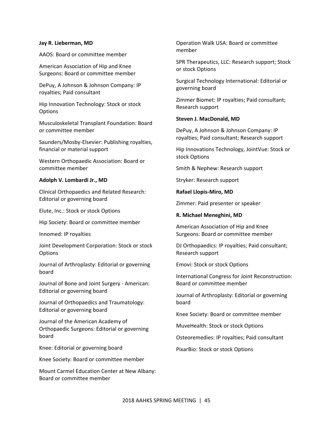#### **Jay R. Lieberman, MD**

AAOS: Board or committee member

American Association of Hip and Knee Surgeons: Board or committee member

DePuy, A Johnson & Johnson Company: IP royalties; Paid consultant

Hip Innovation Technology: Stock or stock **Options** 

Musculoskeletal Transplant Foundation: Board or committee member

Saunders/Mosby‐Elsevier: Publishing royalties, financial or material support

Western Orthopaedic Association: Board or committee member

#### **Adolph V. Lombardi Jr., MD**

Clinical Orthopaedics and Related Research: Editorial or governing board

Elute, Inc.: Stock or stock Options

Hip Society: Board or committee member

Innomed: IP royalties

Joint Development Corporation: Stock or stock **Options** 

Journal of Arthroplasty: Editorial or governing board

Journal of Bone and Joint Surgery ‐ American: Editorial or governing board

Journal of Orthopaedics and Traumatology: Editorial or governing board

Journal of the American Academy of Orthopaedic Surgeons: Editorial or governing board

Knee: Editorial or governing board

Knee Society: Board or committee member

Mount Carmel Education Center at New Albany: Board or committee member

Operation Walk USA: Board or committee member

SPR Therapeutics, LLC: Research support; Stock or stock Options

Surgical Technology International: Editorial or governing board

Zimmer Biomet: IP royalties; Paid consultant; Research support

#### **Steven J. MacDonald, MD**

DePuy, A Johnson & Johnson Company: IP royalties; Paid consultant; Research support

Hip Innovations Technology, JointVue: Stock or stock Options

Smith & Nephew: Research support

Stryker: Research support

**Rafael Llopis‐Miro, MD** 

Zimmer: Paid presenter or speaker

#### **R. Michael Meneghini, MD**

American Association of Hip and Knee Surgeons: Board or committee member

DJ Orthopaedics: IP royalties; Paid consultant; Research support

Emovi: Stock or stock Options

International Congress for Joint Reconstruction: Board or committee member

Journal of Arthroplasty: Editorial or governing board

Knee Society: Board or committee member

MuveHealth: Stock or stock Options

Osteoremedies: IP royalties; Paid consultant

PixarBio: Stock or stock Options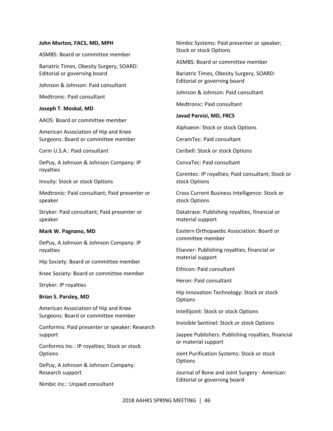#### **John Morton, FACS, MD, MPH**

ASMBS: Board or committee member

Bariatric Times, Obesity Surgery, SOARD: Editorial or governing board

Johnson & Johnson: Paid consultant

Medtronic: Paid consultant

#### **Joseph T. Moskal, MD**

AAOS: Board or committee member

American Association of Hip and Knee Surgeons: Board or committee member

Corin U.S.A.: Paid consultant

DePuy, A Johnson & Johnson Company: IP royalties

Invuity: Stock or stock Options

Medtronic: Paid consultant; Paid presenter or speaker

Stryker: Paid consultant; Paid presenter or speaker

#### **Mark W. Pagnano, MD**

DePuy, A Johnson & Johnson Company: IP royalties

Hip Society: Board or committee member

Knee Society: Board or committee member

Stryker: IP royalties

#### **Brian S. Parsley, MD**

American Association of Hip and Knee Surgeons: Board or committee member

Conformis: Paid presenter or speaker; Research support

Conformis Inc.: IP royalties; Stock or stock **Options** 

DePuy, A Johnson & Johnson Company: Research support

Nimbic Inc.: Unpaid consultant

Nimbic Systems: Paid presenter or speaker; Stock or stock Options

ASMBS: Board or committee member

Bariatric Times, Obesity Surgery, SOARD: Editorial or governing board

Johnson & Johnson: Paid consultant

Medtronic: Paid consultant

**Javad Parvizi, MD, FRCS** 

Alphaeon: Stock or stock Options

CeramTec: Paid consultant

Ceribell: Stock or stock Options

ConvaTec: Paid consultant

Corentec: IP royalties; Paid consultant; Stock or stock Options

Cross Current Business Intelligence: Stock or stock Options

Datatrace: Publishing royalties, financial or material support

Eastern Orthopaedic Association: Board or committee member

Elsevier: Publishing royalties, financial or material support

Ethicon: Paid consultant

Heron: Paid consultant

Hip Innovation Technology: Stock or stock **Options** 

Intellijoint: Stock or stock Options

Invisible Sentinel: Stock or stock Options

Jaypee Publishers: Publishing royalties, financial or material support

Joint Purification Systems: Stock or stock **Options** 

Journal of Bone and Joint Surgery ‐ American: Editorial or governing board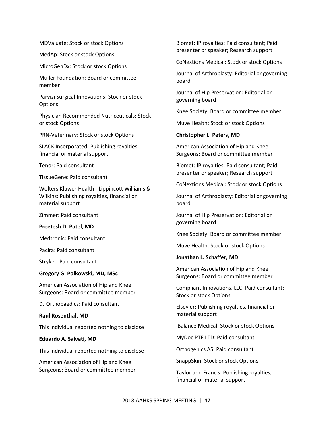MDValuate: Stock or stock Options

MedAp: Stock or stock Options

MicroGenDx: Stock or stock Options

Muller Foundation: Board or committee member

Parvizi Surgical Innovations: Stock or stock **Options** 

Physician Recommended Nutriceuticals: Stock or stock Options

PRN‐Veterinary: Stock or stock Options

SLACK Incorporated: Publishing royalties, financial or material support

Tenor: Paid consultant

TissueGene: Paid consultant

Wolters Kluwer Health ‐ Lippincott Williams & Wilkins: Publishing royalties, financial or material support

Zimmer: Paid consultant

#### **Preetesh D. Patel, MD**

Medtronic: Paid consultant

Pacira: Paid consultant

Stryker: Paid consultant

#### **Gregory G. Polkowski, MD, MSc**

American Association of Hip and Knee Surgeons: Board or committee member

DJ Orthopaedics: Paid consultant

**Raul Rosenthal, MD** 

This individual reported nothing to disclose

#### **Eduardo A. Salvati, MD**

This individual reported nothing to disclose

American Association of Hip and Knee Surgeons: Board or committee member Biomet: IP royalties; Paid consultant; Paid presenter or speaker; Research support

CoNextions Medical: Stock or stock Options

Journal of Arthroplasty: Editorial or governing board

Journal of Hip Preservation: Editorial or governing board

Knee Society: Board or committee member

Muve Health: Stock or stock Options

**Christopher L. Peters, MD** 

American Association of Hip and Knee Surgeons: Board or committee member

Biomet: IP royalties; Paid consultant; Paid presenter or speaker; Research support

CoNextions Medical: Stock or stock Options

Journal of Arthroplasty: Editorial or governing board

Journal of Hip Preservation: Editorial or governing board

Knee Society: Board or committee member

Muve Health: Stock or stock Options

#### **Jonathan L. Schaffer, MD**

American Association of Hip and Knee Surgeons: Board or committee member

Compliant Innovations, LLC: Paid consultant; Stock or stock Options

Elsevier: Publishing royalties, financial or material support

iBalance Medical: Stock or stock Options

MyDoc PTE LTD: Paid consultant

Orthogenics AS: Paid consultant

SnappSkin: Stock or stock Options

Taylor and Francis: Publishing royalties, financial or material support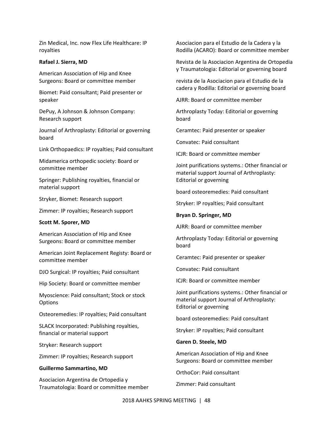Zin Medical, Inc. now Flex Life Healthcare: IP royalties

#### **Rafael J. Sierra, MD**

American Association of Hip and Knee Surgeons: Board or committee member

Biomet: Paid consultant; Paid presenter or speaker

DePuy, A Johnson & Johnson Company: Research support

Journal of Arthroplasty: Editorial or governing board

Link Orthopaedics: IP royalties; Paid consultant

Midamerica orthopedic society: Board or committee member

Springer: Publishing royalties, financial or material support

Stryker, Biomet: Research support

Zimmer: IP royalties; Research support

#### **Scott M. Sporer, MD**

American Association of Hip and Knee Surgeons: Board or committee member

American Joint Replacement Registy: Board or committee member

DJO Surgical: IP royalties; Paid consultant

Hip Society: Board or committee member

Myoscience: Paid consultant; Stock or stock **Options** 

Osteoremedies: IP royalties; Paid consultant

SLACK Incorporated: Publishing royalties, financial or material support

Stryker: Research support

Zimmer: IP royalties; Research support

#### **Guillermo Sammartino, MD**

Asociacion Argentina de Ortopedia y Traumatologia: Board or committee member Asociacion para el Estudio de la Cadera y la Rodilla (ACARO): Board or committee member

Revista de la Asociacion Argentina de Ortopedia y Traumatologia: Editorial or governing board

revista de la Asociacion para el Estudio de la cadera y Rodilla: Editorial or governing board

AJRR: Board or committee member

Arthroplasty Today: Editorial or governing board

Ceramtec: Paid presenter or speaker

Convatec: Paid consultant

ICJR: Board or committee member

Joint purifications systems.: Other financial or material support Journal of Arthroplasty: Editorial or governing

board osteoremedies: Paid consultant

Stryker: IP royalties; Paid consultant

#### **Bryan D. Springer, MD**

AJRR: Board or committee member

Arthroplasty Today: Editorial or governing board

Ceramtec: Paid presenter or speaker

Convatec: Paid consultant

ICJR: Board or committee member

Joint purifications systems.: Other financial or material support Journal of Arthroplasty: Editorial or governing

board osteoremedies: Paid consultant

Stryker: IP royalties; Paid consultant

**Garen D. Steele, MD** 

American Association of Hip and Knee Surgeons: Board or committee member

OrthoCor: Paid consultant

Zimmer: Paid consultant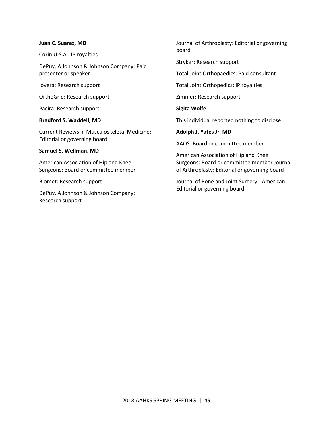#### **Juan C. Suarez, MD**

Corin U.S.A.: IP royalties

DePuy, A Johnson & Johnson Company: Paid presenter or speaker

Iovera: Research support

OrthoGrid: Research support

Pacira: Research support

#### **Bradford S. Waddell, MD**

Current Reviews in Musculoskeletal Medicine: Editorial or governing board

#### **Samuel S. Wellman, MD**

American Association of Hip and Knee Surgeons: Board or committee member

Biomet: Research support

DePuy, A Johnson & Johnson Company: Research support

Journal of Arthroplasty: Editorial or governing board

Stryker: Research support

Total Joint Orthopaedics: Paid consultant

Total Joint Orthopedics: IP royalties

Zimmer: Research support

**Sigita Wolfe** 

This individual reported nothing to disclose

**Adolph J. Yates Jr, MD** 

AAOS: Board or committee member

American Association of Hip and Knee Surgeons: Board or committee member Journal of Arthroplasty: Editorial or governing board

Journal of Bone and Joint Surgery ‐ American: Editorial or governing board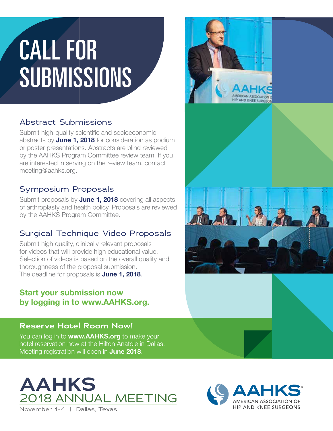## CALL FOR SUBMISSIONS

#### Abstract Submissions

Submit high-quality scientific and socioeconomic abstracts by **June 1, 2018** for consideration as podium or poster presentations. Abstracts are blind reviewed by the AAHKS Program Committee review team. If you are interested in serving on the review team, contact meeting@aahks.org.

#### Symposium Proposals

Submit proposals by **June 1, 2018** covering all aspects of arthroplasty and health policy. Proposals are reviewed by the AAHKS Program Committee.

#### Surgical Technique Video Proposals

Submit high quality, clinically relevant proposals for videos that will provide high educational value. Selection of videos is based on the overall quality and thoroughness of the proposal submission. The deadline for proposals is **June 1, 2018**.

#### Start your submission now by logging in to www.AAHKS.org.

#### **Reserve Hotel Room Now!**

You can log in to www.AAHKS.org to make your hotel reservation now at the Hilton Anatole in Dallas. Meeting registration will open in **June 2018**.



November 1-4 | Dallas, Texas